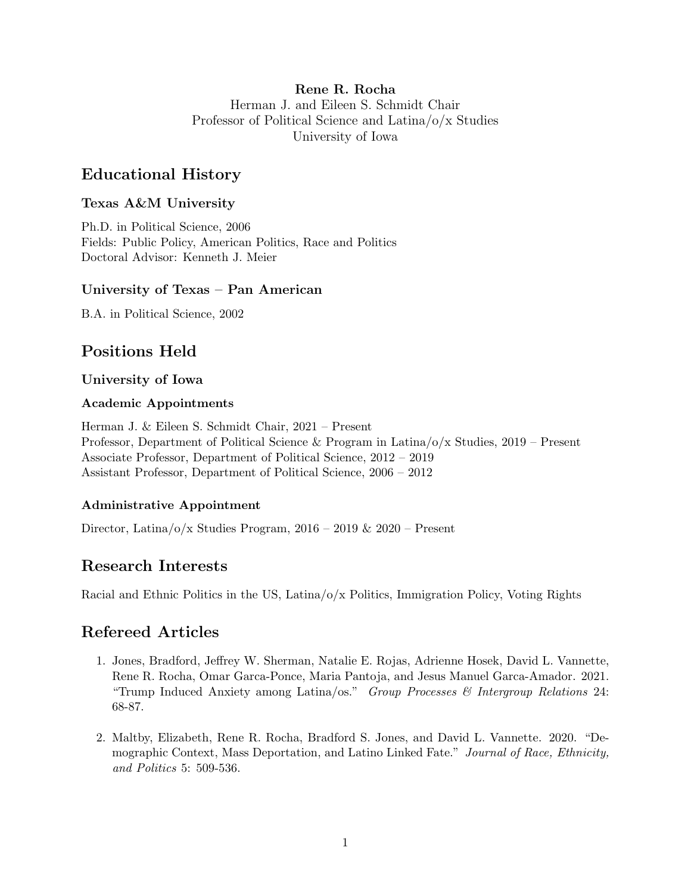## Rene R. Rocha Herman J. and Eileen S. Schmidt Chair Professor of Political Science and Latina/o/x Studies University of Iowa

# Educational History

# Texas A&M University

Ph.D. in Political Science, 2006 Fields: Public Policy, American Politics, Race and Politics Doctoral Advisor: Kenneth J. Meier

# University of Texas – Pan American

B.A. in Political Science, 2002

# Positions Held

# University of Iowa

## Academic Appointments

Herman J. & Eileen S. Schmidt Chair, 2021 – Present Professor, Department of Political Science & Program in Latina/o/x Studies, 2019 – Present Associate Professor, Department of Political Science, 2012 – 2019 Assistant Professor, Department of Political Science, 2006 – 2012

## Administrative Appointment

Director, Latina/o/x Studies Program, 2016 – 2019 & 2020 – Present

# Research Interests

Racial and Ethnic Politics in the US, Latina/o/x Politics, Immigration Policy, Voting Rights

# Refereed Articles

- 1. Jones, Bradford, Jeffrey W. Sherman, Natalie E. Rojas, Adrienne Hosek, David L. Vannette, Rene R. Rocha, Omar Garca-Ponce, Maria Pantoja, and Jesus Manuel Garca-Amador. 2021. "Trump Induced Anxiety among Latina/os." Group Processes & Intergroup Relations 24: 68-87.
- 2. Maltby, Elizabeth, Rene R. Rocha, Bradford S. Jones, and David L. Vannette. 2020. "Demographic Context, Mass Deportation, and Latino Linked Fate." Journal of Race, Ethnicity, and Politics 5: 509-536.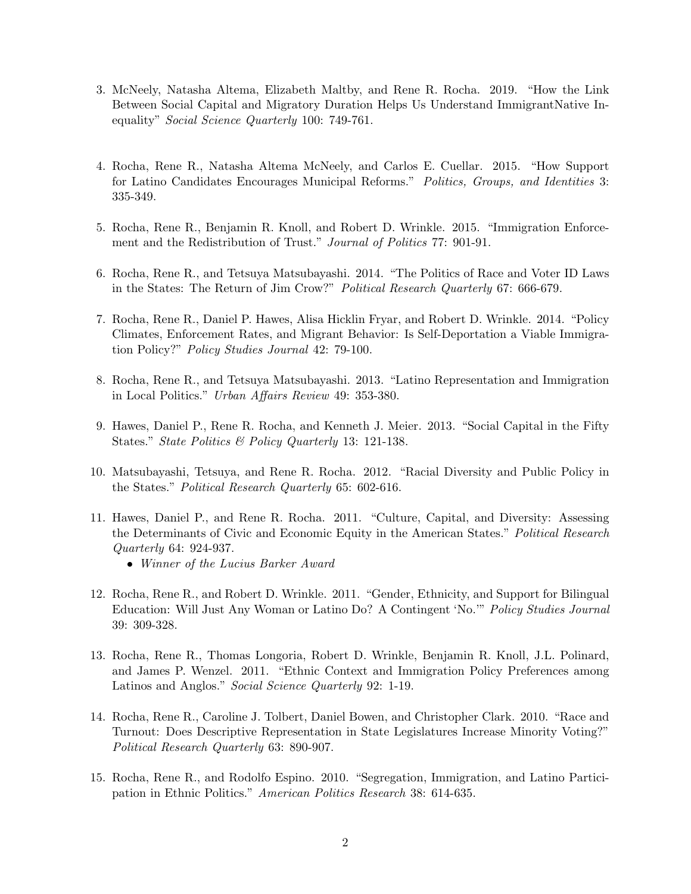- 3. McNeely, Natasha Altema, Elizabeth Maltby, and Rene R. Rocha. 2019. "How the Link Between Social Capital and Migratory Duration Helps Us Understand ImmigrantNative Inequality" Social Science Quarterly 100: 749-761.
- 4. Rocha, Rene R., Natasha Altema McNeely, and Carlos E. Cuellar. 2015. "How Support for Latino Candidates Encourages Municipal Reforms." Politics, Groups, and Identities 3: 335-349.
- 5. Rocha, Rene R., Benjamin R. Knoll, and Robert D. Wrinkle. 2015. "Immigration Enforcement and the Redistribution of Trust." Journal of Politics 77: 901-91.
- 6. Rocha, Rene R., and Tetsuya Matsubayashi. 2014. "The Politics of Race and Voter ID Laws in the States: The Return of Jim Crow?" Political Research Quarterly 67: 666-679.
- 7. Rocha, Rene R., Daniel P. Hawes, Alisa Hicklin Fryar, and Robert D. Wrinkle. 2014. "Policy Climates, Enforcement Rates, and Migrant Behavior: Is Self-Deportation a Viable Immigration Policy?" Policy Studies Journal 42: 79-100.
- 8. Rocha, Rene R., and Tetsuya Matsubayashi. 2013. "Latino Representation and Immigration in Local Politics." Urban Affairs Review 49: 353-380.
- 9. Hawes, Daniel P., Rene R. Rocha, and Kenneth J. Meier. 2013. "Social Capital in the Fifty States." State Politics & Policy Quarterly 13: 121-138.
- 10. Matsubayashi, Tetsuya, and Rene R. Rocha. 2012. "Racial Diversity and Public Policy in the States." Political Research Quarterly 65: 602-616.
- 11. Hawes, Daniel P., and Rene R. Rocha. 2011. "Culture, Capital, and Diversity: Assessing the Determinants of Civic and Economic Equity in the American States." Political Research Quarterly 64: 924-937.
	- Winner of the Lucius Barker Award
- 12. Rocha, Rene R., and Robert D. Wrinkle. 2011. "Gender, Ethnicity, and Support for Bilingual Education: Will Just Any Woman or Latino Do? A Contingent 'No.'" Policy Studies Journal 39: 309-328.
- 13. Rocha, Rene R., Thomas Longoria, Robert D. Wrinkle, Benjamin R. Knoll, J.L. Polinard, and James P. Wenzel. 2011. "Ethnic Context and Immigration Policy Preferences among Latinos and Anglos." Social Science Quarterly 92: 1-19.
- 14. Rocha, Rene R., Caroline J. Tolbert, Daniel Bowen, and Christopher Clark. 2010. "Race and Turnout: Does Descriptive Representation in State Legislatures Increase Minority Voting?" Political Research Quarterly 63: 890-907.
- 15. Rocha, Rene R., and Rodolfo Espino. 2010. "Segregation, Immigration, and Latino Participation in Ethnic Politics." American Politics Research 38: 614-635.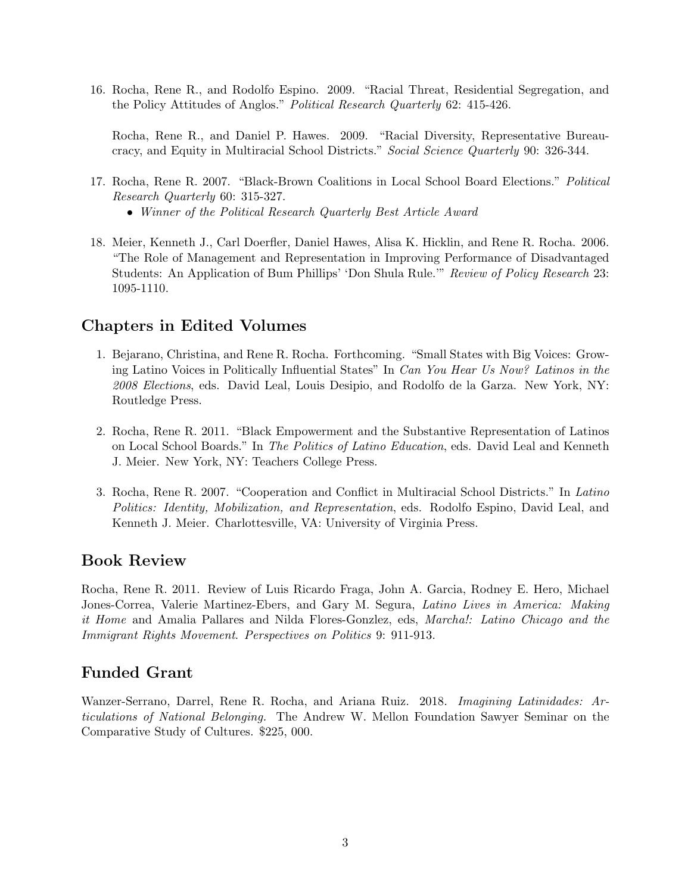16. Rocha, Rene R., and Rodolfo Espino. 2009. "Racial Threat, Residential Segregation, and the Policy Attitudes of Anglos." Political Research Quarterly 62: 415-426.

Rocha, Rene R., and Daniel P. Hawes. 2009. "Racial Diversity, Representative Bureaucracy, and Equity in Multiracial School Districts." Social Science Quarterly 90: 326-344.

- 17. Rocha, Rene R. 2007. "Black-Brown Coalitions in Local School Board Elections." Political Research Quarterly 60: 315-327.
	- Winner of the Political Research Quarterly Best Article Award
- 18. Meier, Kenneth J., Carl Doerfler, Daniel Hawes, Alisa K. Hicklin, and Rene R. Rocha. 2006. "The Role of Management and Representation in Improving Performance of Disadvantaged Students: An Application of Bum Phillips' 'Don Shula Rule.'" Review of Policy Research 23: 1095-1110.

# Chapters in Edited Volumes

- 1. Bejarano, Christina, and Rene R. Rocha. Forthcoming. "Small States with Big Voices: Growing Latino Voices in Politically Influential States" In Can You Hear Us Now? Latinos in the 2008 Elections, eds. David Leal, Louis Desipio, and Rodolfo de la Garza. New York, NY: Routledge Press.
- 2. Rocha, Rene R. 2011. "Black Empowerment and the Substantive Representation of Latinos on Local School Boards." In The Politics of Latino Education, eds. David Leal and Kenneth J. Meier. New York, NY: Teachers College Press.
- 3. Rocha, Rene R. 2007. "Cooperation and Conflict in Multiracial School Districts." In Latino Politics: Identity, Mobilization, and Representation, eds. Rodolfo Espino, David Leal, and Kenneth J. Meier. Charlottesville, VA: University of Virginia Press.

# Book Review

Rocha, Rene R. 2011. Review of Luis Ricardo Fraga, John A. Garcia, Rodney E. Hero, Michael Jones-Correa, Valerie Martinez-Ebers, and Gary M. Segura, Latino Lives in America: Making it Home and Amalia Pallares and Nilda Flores-Gonzlez, eds, Marcha!: Latino Chicago and the Immigrant Rights Movement. Perspectives on Politics 9: 911-913.

# Funded Grant

Wanzer-Serrano, Darrel, Rene R. Rocha, and Ariana Ruiz. 2018. Imagining Latinidades: Articulations of National Belonging. The Andrew W. Mellon Foundation Sawyer Seminar on the Comparative Study of Cultures. \$225, 000.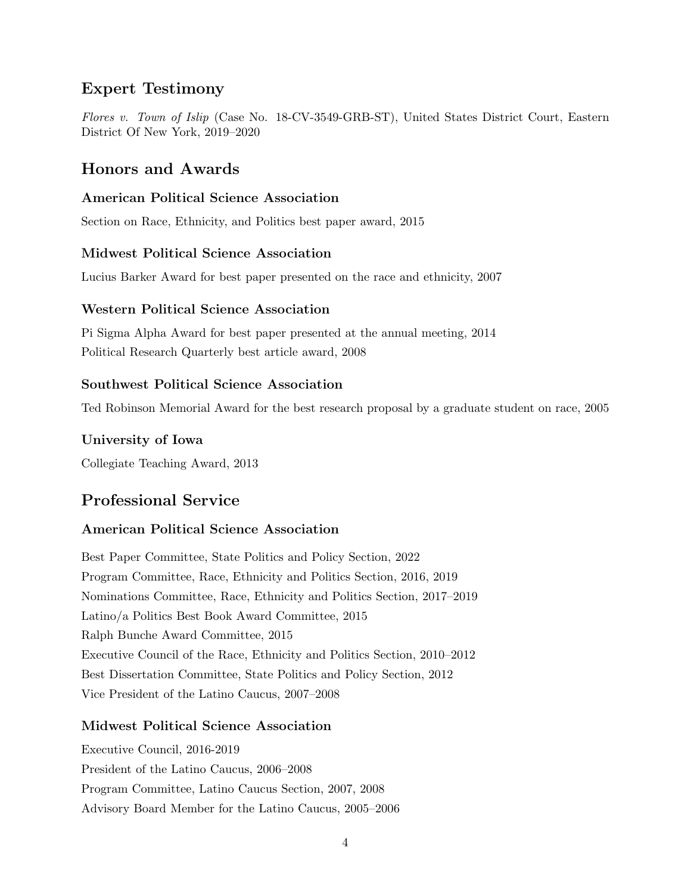# Expert Testimony

Flores v. Town of Islip (Case No. 18-CV-3549-GRB-ST), United States District Court, Eastern District Of New York, 2019–2020

# Honors and Awards

## American Political Science Association

Section on Race, Ethnicity, and Politics best paper award, 2015

#### Midwest Political Science Association

Lucius Barker Award for best paper presented on the race and ethnicity, 2007

#### Western Political Science Association

Pi Sigma Alpha Award for best paper presented at the annual meeting, 2014 Political Research Quarterly best article award, 2008

#### Southwest Political Science Association

Ted Robinson Memorial Award for the best research proposal by a graduate student on race, 2005

#### University of Iowa

Collegiate Teaching Award, 2013

# Professional Service

#### American Political Science Association

Best Paper Committee, State Politics and Policy Section, 2022 Program Committee, Race, Ethnicity and Politics Section, 2016, 2019 Nominations Committee, Race, Ethnicity and Politics Section, 2017–2019 Latino/a Politics Best Book Award Committee, 2015 Ralph Bunche Award Committee, 2015 Executive Council of the Race, Ethnicity and Politics Section, 2010–2012 Best Dissertation Committee, State Politics and Policy Section, 2012 Vice President of the Latino Caucus, 2007–2008

## Midwest Political Science Association

Executive Council, 2016-2019 President of the Latino Caucus, 2006–2008 Program Committee, Latino Caucus Section, 2007, 2008 Advisory Board Member for the Latino Caucus, 2005–2006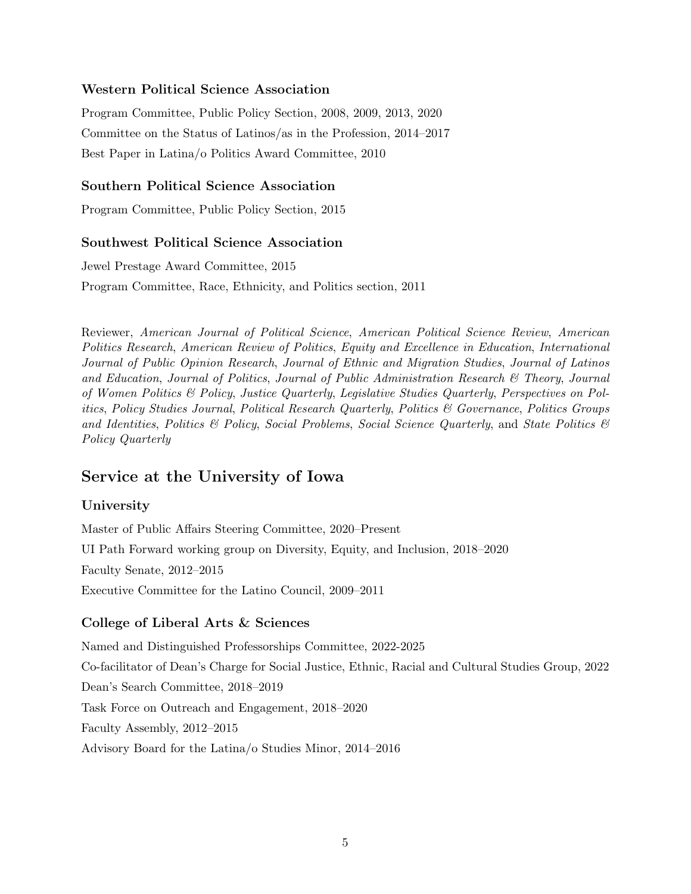## Western Political Science Association

Program Committee, Public Policy Section, 2008, 2009, 2013, 2020 Committee on the Status of Latinos/as in the Profession, 2014–2017 Best Paper in Latina/o Politics Award Committee, 2010

# Southern Political Science Association

Program Committee, Public Policy Section, 2015

## Southwest Political Science Association

Jewel Prestage Award Committee, 2015 Program Committee, Race, Ethnicity, and Politics section, 2011

Reviewer, American Journal of Political Science, American Political Science Review, American Politics Research, American Review of Politics, Equity and Excellence in Education, International Journal of Public Opinion Research, Journal of Ethnic and Migration Studies, Journal of Latinos and Education, Journal of Politics, Journal of Public Administration Research  $\mathcal{B}$  Theory, Journal of Women Politics & Policy, Justice Quarterly, Legislative Studies Quarterly, Perspectives on Politics, Policy Studies Journal, Political Research Quarterly, Politics & Governance, Politics Groups and Identities, Politics & Policy, Social Problems, Social Science Quarterly, and State Politics  $\mathcal{B}$ Policy Quarterly

# Service at the University of Iowa

## University

Master of Public Affairs Steering Committee, 2020–Present UI Path Forward working group on Diversity, Equity, and Inclusion, 2018–2020 Faculty Senate, 2012–2015 Executive Committee for the Latino Council, 2009–2011

## College of Liberal Arts & Sciences

Named and Distinguished Professorships Committee, 2022-2025 Co-facilitator of Dean's Charge for Social Justice, Ethnic, Racial and Cultural Studies Group, 2022 Dean's Search Committee, 2018–2019 Task Force on Outreach and Engagement, 2018–2020 Faculty Assembly, 2012–2015 Advisory Board for the Latina/o Studies Minor, 2014–2016